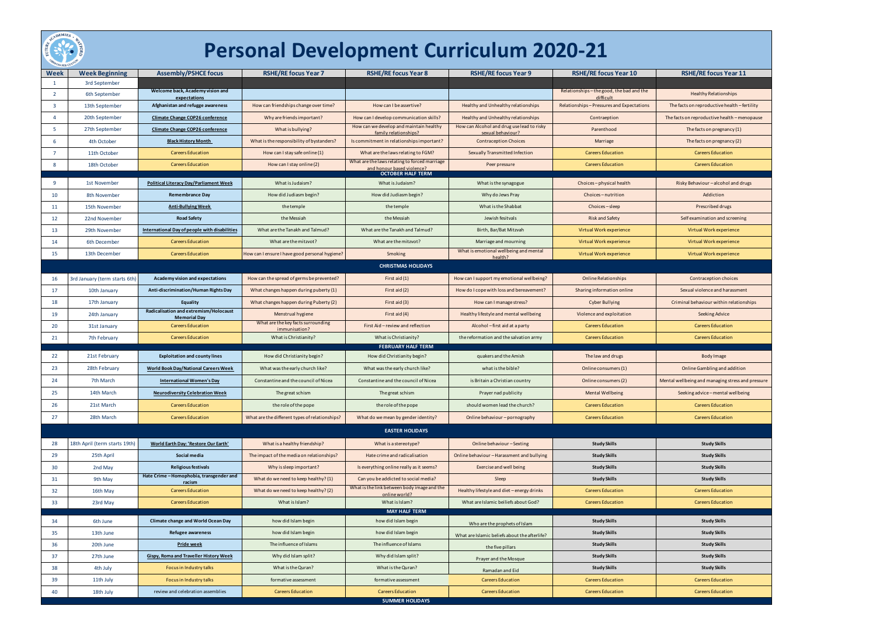| <b>Week</b>             | <b>Week Beginning</b>         | <b>Assembly/PSHCE focus</b>                                   | <b>RSHE/RE focus Year 7</b>                         | <b>RSHE/RE focus Year 8</b>                                                 | <b>RSHE/RE focus Year 9</b>                                     | <b>RSHE/RE focus Year 10</b>                         | <b>RSHE/RE focus Year 11</b>                      |
|-------------------------|-------------------------------|---------------------------------------------------------------|-----------------------------------------------------|-----------------------------------------------------------------------------|-----------------------------------------------------------------|------------------------------------------------------|---------------------------------------------------|
| $\mathbf{1}$            | 3rd September                 |                                                               |                                                     |                                                                             |                                                                 |                                                      |                                                   |
| $\overline{2}$          | 6th September                 | Welcome back, Academy vision and<br>expectations              |                                                     |                                                                             |                                                                 | Relationships-the good, the bad and the<br>difficult | <b>Healthy Relationships</b>                      |
| $\overline{\mathbf{3}}$ | 13th September                | Afghanistan and refugge awareness                             | How can friendships change over time?               | How can I be assertive?                                                     | Healthy and Unhealthy relationships                             | Relationships-Pressures and Expectations             | The facts on reproductive health - fertility      |
| $\overline{4}$          | 20th September                | Climate Change COP26 conference                               | Why are friends important?                          | How can I develop communication skills?                                     | Healthy and Unhealthy relationships                             | Contraeption                                         | The facts on reproductive health - menopause      |
| -5                      | 27th September                | Climate Change COP26 conference                               | What is bullying?                                   | How can we develop and maintain healthy<br>family relationships?            | How can Alcohol and drug use lead to risky<br>sexual behaviour? | Parenthood                                           | The facts on pregnancy (1)                        |
| 6                       | 4th October                   | <b>Black History Month</b>                                    | What is the responsibility of bystanders?           | Is commitment in relationships important?                                   | <b>Contraception Choices</b>                                    | Marriage                                             | The facts on pregnancy (2)                        |
| $\overline{7}$          | 11th October                  | <b>Careers Education</b>                                      | How can I stay safe online (1)                      | What are the laws relating to FGM?                                          | Sexually Transmitted Infection                                  | <b>Careers Education</b>                             | <b>Careers Education</b>                          |
| 8                       | 18th October                  | <b>Careers Education</b>                                      | How can I stay online (2)                           | What are the laws relating to forced marriage<br>and honour based violence? | Peer pressure                                                   | <b>Careers Education</b>                             | <b>Careers Education</b>                          |
|                         |                               |                                                               |                                                     | <b>OCTOBER HALF TERM</b>                                                    |                                                                 |                                                      |                                                   |
| -9                      | 1st November                  | Political Literacy Day/Parliament Week                        | What is Judaism?                                    | What is Judaism?                                                            | What is the synagogue                                           | Choices-physical health                              | Risky Behaviour - alcohol and drugs               |
| 10                      | 8th November                  | <b>Remembrance Day</b>                                        | How did Judiasm begin?                              | How did Judiasm begin?                                                      | Why do Jews Pray                                                | Choices-nutrition                                    | Addiction                                         |
| 11                      | 15th November                 | <b>Anti-Bullying Week</b>                                     | the temple                                          | the temple                                                                  | What is the Shabbat                                             | Choices-sleep                                        | Prescribed drugs                                  |
| 12                      | 22nd November                 | <b>Road Safety</b>                                            | the Messiah                                         | the Messiah                                                                 | Jewish fesitvals                                                | Risk and Safety                                      | Self examination and screening                    |
| 13                      | 29th November                 | International Day of people with disabilities                 | What are the Tanakh and Talmud?                     | What are the Tanakh and Talmud?                                             | Birth, Bar/Bat Mitzvah                                          | Virtual Work experience                              | Virtual Work experience                           |
| 14                      | 6th December                  | <b>Careers Education</b>                                      | What are the mitzvot?                               | What are the mitzvot?                                                       | Marriage and mourning                                           | Virtual Work experience                              | Virtual Work experience                           |
| 15                      | 13th December                 | <b>Careers Education</b>                                      | How can I ensure I have good personal hygiene?      | Smoking                                                                     | What is emotional wellbeing and mental<br>health?               | Virtual Work experience                              | Virtual Work experience                           |
|                         |                               |                                                               |                                                     | <b>CHRISTMAS HOLIDAYS</b>                                                   |                                                                 |                                                      |                                                   |
| 16                      | 3rd January (term starts 6th) | Academy vision and expectations                               | How can the spread of germs be prevented?           | First aid (1)                                                               | How can I support my emotional wellbeing?                       | <b>Online Relationships</b>                          | Contraception choices                             |
| 17                      | 10th January                  | Anti-discrimination/Human Rights Day                          | What changes happen during puberty (1)              | First aid (2)                                                               | How do I cope with loss and bereavement?                        | Sharing information online                           | Sexual violence and harassment                    |
| 18                      | 17th January                  | Equality                                                      | What changes happen during Puberty (2)              | First aid (3)                                                               | How can I manage stress?                                        | Cyber Bullying                                       | Criminal behaviour within relationships           |
| 19                      | 24th January                  | Radicalisation and extremism/Holocaust<br><b>Memorial Day</b> | Menstrual hygiene                                   | First aid (4)                                                               | Healthy lifestyle and mental wellbeing                          | Violence and exploitation                            | Seeking Advice                                    |
| 20                      | 31st January                  | <b>Careers Education</b>                                      | What are the key facts surrounding<br>immunisation? | First Aid - review and reflection                                           | Alcohol – first aid at a party                                  | <b>Careers Education</b>                             | <b>Careers Education</b>                          |
| 21                      | 7th February                  | <b>Careers Education</b>                                      | What is Christianity?                               | What is Christianity?                                                       | the reformation and the salvation army                          | <b>Careers Education</b>                             | <b>Careers Education</b>                          |
|                         |                               |                                                               |                                                     | <b>FEBRUARY HALF TERM</b>                                                   |                                                                 |                                                      |                                                   |
| 22                      | 21st February                 | <b>Exploitation and county lines</b>                          | How did Christianity begin?                         | How did Christianity begin?                                                 | quakers and the Amish                                           | The law and drugs                                    | <b>Body Image</b>                                 |
| 23                      | 28th February                 | <b>World Book Day/National Careers Week</b>                   | What was the early church like?                     | What was the early church like?                                             | what is the bible?                                              | Online consumers (1)                                 | Online Gambling and addition                      |
| 24                      | 7th March                     | <b>International Women's Day</b>                              | Constantine and the council of Nicea                | Constantine and the council of Nicea                                        | is Britain a Christian country                                  | Online consumers (2)                                 | Mental wellbeing and managing stress and pressure |
| 25                      | 14th March                    | <b>Neurodiversity Celebration Week</b>                        | The great schism                                    | The great schism                                                            | Prayer nad publicity                                            | <b>Mental Wellbeing</b>                              | Seeking advice - mental wellbeing                 |
| 26                      | 21st March                    | <b>Careers Education</b>                                      | the role of the pope                                | the role of the pope                                                        | should women lead the church?                                   | <b>Careers Education</b>                             | <b>Careers Education</b>                          |
| 27                      | 28th March                    | <b>Careers Education</b>                                      | What are the different types of relationships?      | What do we mean by gender identity?                                         | Online behaviour - pornography                                  | <b>Careers Education</b>                             | <b>Careers Education</b>                          |
|                         |                               |                                                               |                                                     | <b>EASTER HOLIDAYS</b>                                                      |                                                                 |                                                      |                                                   |
| 28                      | 18th April (term starts 19th) | World Earth Day: 'Restore Our Earth'                          | What is a healthy friendship?                       | What is a stereotype?                                                       | Online behaviour - Sexting                                      | <b>Study Skills</b>                                  | <b>Study Skills</b>                               |
| 29                      | 25th April                    | Social media                                                  | The impact of the media on relationships?           | Hate crime and radicalisation                                               | Online behaviour - Harassment and bullying                      | <b>Study Skills</b>                                  | <b>Study Skills</b>                               |
| 30                      | 2nd May                       | Religious festivals                                           | Why is sleep important?                             | Is everything online really as it seems?                                    | Exercise and well being                                         | <b>Study Skills</b>                                  | <b>Study Skills</b>                               |
| 31                      | 9th May                       | Hate Crime - Homophobia, transgender and<br>racism            | What do we need to keep healthy? (1)                | Can you be addicted to social media?                                        | Sleep                                                           | <b>Study Skills</b>                                  | <b>Study Skills</b>                               |
| 32                      | 16th May                      | <b>Careers Education</b>                                      | What do we need to keep healthy? (2)                | What is the link between body image and the<br>online world?                | Healthy lifestyle and diet - energy drinks                      | <b>Careers Education</b>                             | <b>Careers Education</b>                          |
| 33                      | 23rd May                      | <b>Careers Education</b>                                      | What is Islam?                                      | What is Islam?                                                              | What are Islamic beiliefs about God?                            | <b>Careers Education</b>                             | <b>Careers Education</b>                          |
|                         |                               |                                                               |                                                     | <b>MAY HALF TERM</b>                                                        |                                                                 |                                                      |                                                   |
| 34                      | 6th June                      | Climate change and World Ocean Day                            | how did Islam begin                                 | how did Islam begin                                                         | Who are the prophets of Islam                                   | <b>Study Skills</b>                                  | <b>Study Skills</b>                               |
| 35                      | 13th June                     | Refugee awareness                                             | how did Islam begin                                 | how did Islam begin                                                         | What are Islamic beliefs about the afterlife?                   | <b>Study Skills</b>                                  | <b>Study Skills</b>                               |
| 36                      | 20th June                     | <b>Pride week</b>                                             | The influence of Islams                             | The influence of Islams                                                     | the five pillars                                                | <b>Study Skills</b>                                  | <b>Study Skills</b>                               |
| 37                      | 27th June                     | <b>Gispy, Roma and Traveller History Week</b>                 | Why did Islam split?                                | Why did Islam split?                                                        | Prayer and the Mosque                                           | <b>Study Skills</b>                                  | <b>Study Skills</b>                               |
|                         |                               |                                                               |                                                     |                                                                             |                                                                 |                                                      |                                                   |
| 38                      | 4th July                      | Focus in Industry talks                                       | What is the Quran?                                  | What is the Quran?                                                          | Ramadan and Eid                                                 | <b>Study Skills</b>                                  | <b>Study Skills</b>                               |
| 39                      | 11th July                     | Focus in Industry talks                                       | formative assessment                                | formative assessment                                                        | <b>Careers Education</b>                                        | <b>Careers Education</b>                             | <b>Careers Education</b>                          |
| 40                      | 18th July                     | review and celebration assemblies                             | <b>Careers Education</b>                            | <b>Careers Education</b><br><b>SUMMER HOLIDAYS</b>                          | <b>Careers Education</b>                                        | <b>Careers Education</b>                             | <b>Careers Education</b>                          |



## **Personal Development Curriculum 2020-21**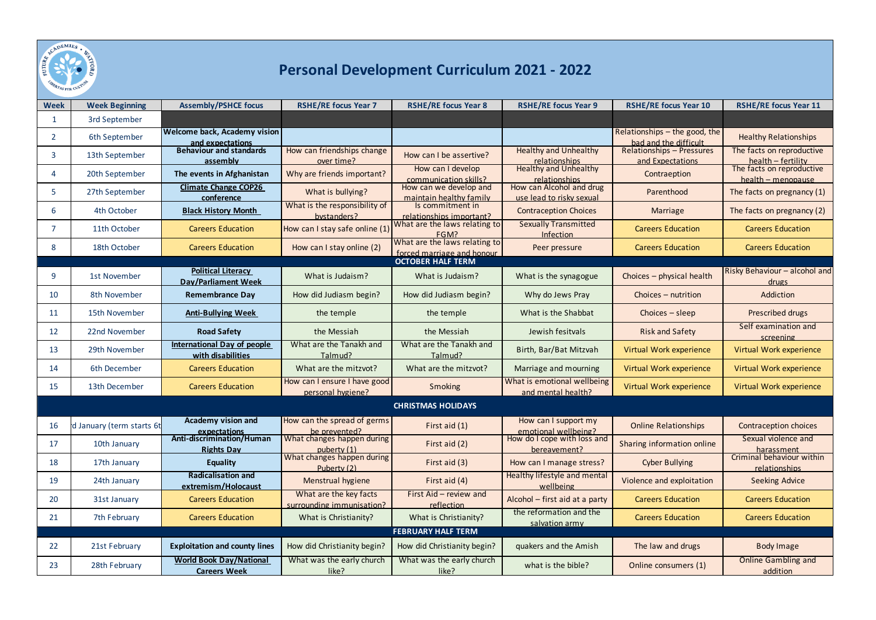| <b>ATAS PER CULY</b>      |                           |                                                         |                                                     |                                                             |                                                      |                                                          |                                                 |  |
|---------------------------|---------------------------|---------------------------------------------------------|-----------------------------------------------------|-------------------------------------------------------------|------------------------------------------------------|----------------------------------------------------------|-------------------------------------------------|--|
| <b>Week</b>               | <b>Week Beginning</b>     | <b>Assembly/PSHCE focus</b>                             | <b>RSHE/RE focus Year 7</b>                         | <b>RSHE/RE focus Year 8</b>                                 | <b>RSHE/RE focus Year 9</b>                          | <b>RSHE/RE focus Year 10</b>                             | <b>RSHE/RE focus Year 11</b>                    |  |
|                           | 3rd September             |                                                         |                                                     |                                                             |                                                      |                                                          |                                                 |  |
| <sup>2</sup>              | 6th September             | <b>Welcome back, Academy vision</b><br>and expectations |                                                     |                                                             |                                                      | Relationships $-$ the good, the<br>bad and the difficult | <b>Healthy Relationships</b>                    |  |
| 3                         | 13th September            | <b>Behaviour and standards</b><br>assembly              | How can friendships change<br>over time?            | How can I be assertive?                                     | <b>Healthy and Unhealthy</b><br>relationships        | <b>Relationships - Pressures</b><br>and Expectations     | The facts on reproductive<br>health - fertility |  |
| 4                         | 20th September            | The events in Afghanistan                               | Why are friends important?                          | How can I develop<br>communication skills?                  | <b>Healthy and Unhealthy</b><br>relationships        | Contraeption                                             | The facts on reproductive<br>health - menopause |  |
| 5                         | 27th September            | <b>Climate Change COP26</b><br>conference               | What is bullying?                                   | How can we develop and<br>maintain healthy family           | How can Alcohol and drug<br>use lead to risky sexual | Parenthood                                               | The facts on pregnancy (1)                      |  |
| -6                        | 4th October               | <b>Black History Month</b>                              | What is the responsibility of<br>bystanders?        | Is commitment in<br>relationships important?                | <b>Contraception Choices</b>                         | Marriage                                                 | The facts on pregnancy (2)                      |  |
| -7                        | 11th October              | <b>Careers Education</b>                                | How can I stay safe online (1)                      | What are the laws relating to<br>FGM?                       | <b>Sexually Transmitted</b><br><b>Infection</b>      | <b>Careers Education</b>                                 | <b>Careers Education</b>                        |  |
| 8                         | 18th October              | <b>Careers Education</b>                                | How can I stay online (2)                           | What are the laws relating to<br>forced marriage and honour | Peer pressure                                        | <b>Careers Education</b>                                 | <b>Careers Education</b>                        |  |
|                           |                           |                                                         |                                                     | <b>OCTOBER HALF TERM</b>                                    |                                                      |                                                          |                                                 |  |
| $\overline{9}$            | 1st November              | <b>Political Literacy</b><br><b>Dav/Parliament Week</b> | What is Judaism?                                    | What is Judaism?                                            | What is the synagogue                                | Choices $-$ physical health                              | Risky Behaviour - alcohol and<br>drugs          |  |
| 10                        | 8th November              | <b>Remembrance Day</b>                                  | How did Judiasm begin?                              | How did Judiasm begin?                                      | Why do Jews Pray                                     | Choices - nutrition                                      | Addiction                                       |  |
| 11                        | 15th November             | <b>Anti-Bullying Week</b>                               | the temple                                          | the temple                                                  | What is the Shabbat                                  | Choices $-$ sleep                                        | Prescribed drugs                                |  |
| 12                        | 22nd November             | <b>Road Safety</b>                                      | the Messiah                                         | the Messiah                                                 | Jewish fesitvals                                     | <b>Risk and Safety</b>                                   | Self examination and<br>screening               |  |
| 13                        | 29th November             | <b>International Day of people</b><br>with disabilities | What are the Tanakh and<br>Talmud?                  | What are the Tanakh and<br>Talmud?                          | Birth, Bar/Bat Mitzvah                               | Virtual Work experience                                  | Virtual Work experience                         |  |
| 14                        | 6th December              | <b>Careers Education</b>                                | What are the mitzvot?                               | What are the mitzvot?                                       | Marriage and mourning                                | Virtual Work experience                                  | Virtual Work experience                         |  |
| 15                        | 13th December             | <b>Careers Education</b>                                | How can I ensure I have good<br>personal hygiene?   | Smoking                                                     | What is emotional wellbeing<br>and mental health?    | Virtual Work experience                                  | Virtual Work experience                         |  |
| <b>CHRISTMAS HOLIDAYS</b> |                           |                                                         |                                                     |                                                             |                                                      |                                                          |                                                 |  |
| 16                        | d January (term starts 6t | <b>Academy vision and</b><br>expectations               | How can the spread of germs<br>be prevented?        | First aid (1)                                               | How can I support my<br>emotional wellbeing?         | <b>Online Relationships</b>                              | Contraception choices                           |  |
| 17                        | 10th January              | Anti-discrimination/Human<br><b>Rights Day</b>          | What changes happen during<br>puberty (1)           | First aid (2)                                               | How do I cope with loss and<br>bereavement?          | Sharing information online                               | Sexual violence and<br>harassment               |  |
| 18                        | 17th January              | <b>Equality</b>                                         | What changes happen during<br>Puberty (2)           | First aid (3)                                               | How can I manage stress?                             | <b>Cyber Bullying</b>                                    | Criminal behaviour within<br>relationships      |  |
| 19                        | 24th January              | <b>Radicalisation and</b><br>extremism/Holocaust        | Menstrual hygiene                                   | First aid (4)                                               | Healthy lifestyle and mental<br>wellbeing            | Violence and exploitation                                | <b>Seeking Advice</b>                           |  |
| 20                        | 31st January              | <b>Careers Education</b>                                | What are the key facts<br>surrounding immunisation? | First Aid - review and<br>reflection                        | Alcohol - first aid at a party                       | <b>Careers Education</b>                                 | <b>Careers Education</b>                        |  |
| 21                        | 7th February              | <b>Careers Education</b>                                | What is Christianity?                               | What is Christianity?                                       | the reformation and the<br>salvation army            | <b>Careers Education</b>                                 | <b>Careers Education</b>                        |  |
|                           | <b>FEBRUARY HALF TERM</b> |                                                         |                                                     |                                                             |                                                      |                                                          |                                                 |  |
| 22                        | 21st February             | <b>Exploitation and county lines</b>                    | How did Christianity begin?                         | How did Christianity begin?                                 | quakers and the Amish                                | The law and drugs                                        | <b>Body Image</b>                               |  |
| 23                        | 28th February             | <b>World Book Day/National</b><br><b>Careers Week</b>   | What was the early church<br>like?                  | What was the early church<br>like?                          | what is the bible?                                   | Online consumers (1)                                     | <b>Online Gambling and</b><br>addition          |  |



## **Personal Development Curriculum 2021 - 2022**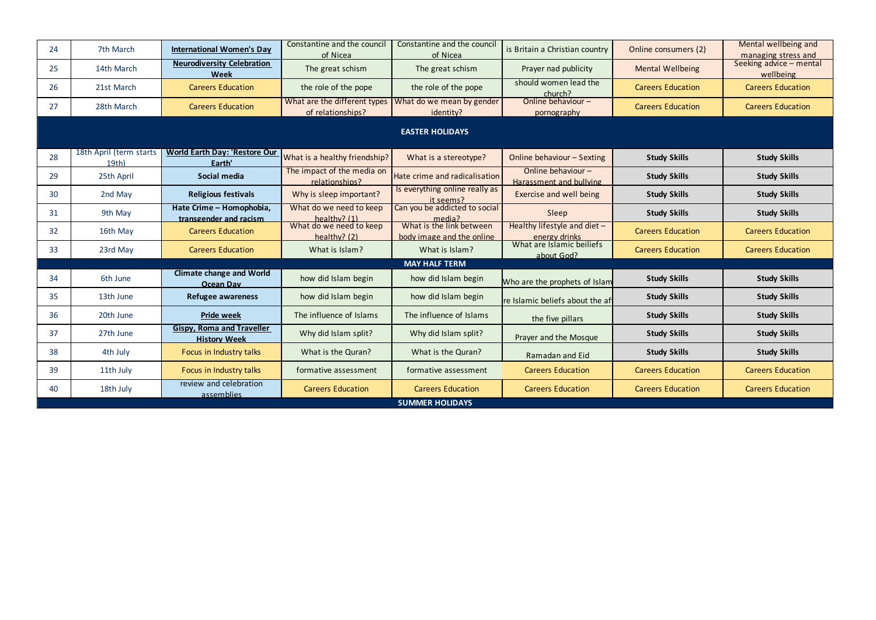| 24 | 7th March                                          | <b>International Women's Day</b>                        | Constantine and the council                       | Constantine and the council                           | is Britain a Christian country                           | Online consumers (2)     | Mental wellbeing and                           |  |  |
|----|----------------------------------------------------|---------------------------------------------------------|---------------------------------------------------|-------------------------------------------------------|----------------------------------------------------------|--------------------------|------------------------------------------------|--|--|
| 25 | 14th March                                         | <b>Neurodiversity Celebration</b>                       | of Nicea<br>The great schism                      | of Nicea<br>The great schism                          | Prayer nad publicity                                     | <b>Mental Wellbeing</b>  | managing stress and<br>Seeking advice - mental |  |  |
| 26 | 21st March                                         | <b>Week</b><br><b>Careers Education</b>                 | the role of the pope                              | the role of the pope                                  | should women lead the                                    | <b>Careers Education</b> | wellbeing<br><b>Careers Education</b>          |  |  |
| 27 | 28th March                                         | <b>Careers Education</b>                                | What are the different types<br>of relationships? | What do we mean by gender                             | church?<br>Online behaviour -                            | <b>Careers Education</b> | <b>Careers Education</b>                       |  |  |
|    | identity?<br>pornography<br><b>EASTER HOLIDAYS</b> |                                                         |                                                   |                                                       |                                                          |                          |                                                |  |  |
|    |                                                    |                                                         |                                                   |                                                       |                                                          |                          |                                                |  |  |
| 28 | 18th April (term starts<br>19 <sub>th</sub>        | <b>World Earth Day: 'Restore Our</b><br>Earth'          | What is a healthy friendship?                     | What is a stereotype?                                 | Online behaviour - Sexting                               | <b>Study Skills</b>      | <b>Study Skills</b>                            |  |  |
| 29 | 25th April                                         | Social media                                            | The impact of the media on<br>relationships?      | Hate crime and radicalisation                         | Online behaviour -<br>Harassment and bullving            | <b>Study Skills</b>      | <b>Study Skills</b>                            |  |  |
| 30 | 2nd May                                            | <b>Religious festivals</b>                              | Why is sleep important?                           | Is everything online really as<br>it seems?           | Exercise and well being                                  | <b>Study Skills</b>      | <b>Study Skills</b>                            |  |  |
| 31 | 9th May                                            | Hate Crime - Homophobia,<br>transgender and racism      | What do we need to keep<br>healthy? (1)           | Can you be addicted to social<br>media?               | Sleep                                                    | <b>Study Skills</b>      | <b>Study Skills</b>                            |  |  |
| 32 | 16th May                                           | <b>Careers Education</b>                                | What do we need to keep<br>healthy? (2)           | What is the link between<br>body image and the online | Healthy lifestyle and diet -                             | <b>Careers Education</b> | <b>Careers Education</b>                       |  |  |
| 33 | 23rd May                                           | <b>Careers Education</b>                                | What is Islam?                                    | What is Islam?                                        | energy drinks<br>What are Islamic beiliefs<br>about God? | <b>Careers Education</b> | <b>Careers Education</b>                       |  |  |
|    | <b>MAY HALF TERM</b>                               |                                                         |                                                   |                                                       |                                                          |                          |                                                |  |  |
| 34 | 6th June                                           | <b>Climate change and World</b><br><b>Ocean Day</b>     | how did Islam begin                               | how did Islam begin                                   | Who are the prophets of Islam                            | <b>Study Skills</b>      | <b>Study Skills</b>                            |  |  |
| 35 | 13th June                                          | <b>Refugee awareness</b>                                | how did Islam begin                               | how did Islam begin                                   | re Islamic beliefs about the aff                         | <b>Study Skills</b>      | <b>Study Skills</b>                            |  |  |
| 36 | 20th June                                          | <b>Pride week</b>                                       | The influence of Islams                           | The influence of Islams                               | the five pillars                                         | <b>Study Skills</b>      | <b>Study Skills</b>                            |  |  |
| 37 | 27th June                                          | <b>Gispy, Roma and Traveller</b><br><b>History Week</b> | Why did Islam split?                              | Why did Islam split?                                  | Prayer and the Mosque                                    | <b>Study Skills</b>      | <b>Study Skills</b>                            |  |  |
| 38 | 4th July                                           | Focus in Industry talks                                 | What is the Quran?                                | What is the Quran?                                    | Ramadan and Eid                                          | <b>Study Skills</b>      | <b>Study Skills</b>                            |  |  |
| 39 | 11th July                                          | Focus in Industry talks                                 | formative assessment                              | formative assessment                                  | <b>Careers Education</b>                                 | <b>Careers Education</b> | <b>Careers Education</b>                       |  |  |
| 40 | 18th July                                          | review and celebration<br>assemblies                    | <b>Careers Education</b>                          | <b>Careers Education</b>                              | <b>Careers Education</b>                                 | <b>Careers Education</b> | <b>Careers Education</b>                       |  |  |
|    | <b>SUMMER HOLIDAYS</b>                             |                                                         |                                                   |                                                       |                                                          |                          |                                                |  |  |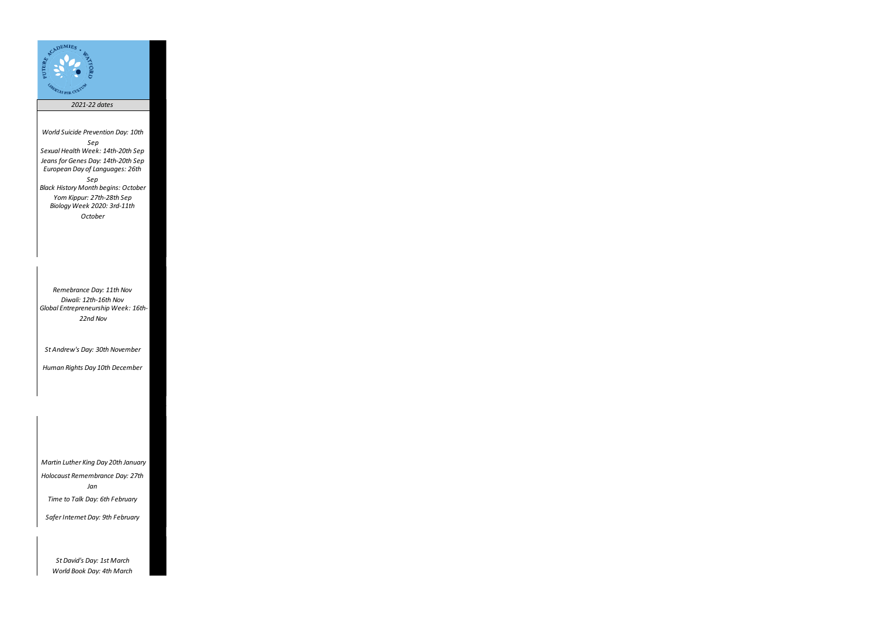